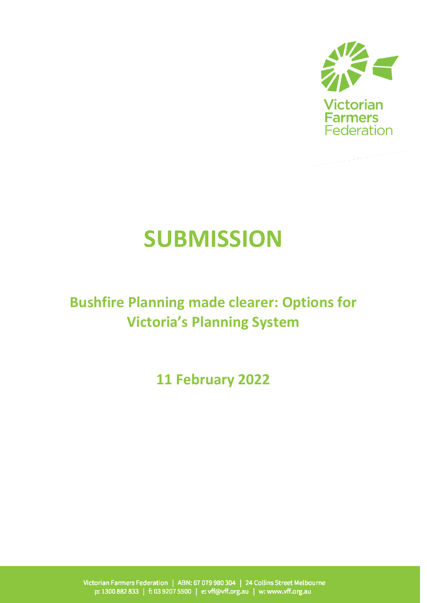

# **SUBMISSION**

# **Bushfire Planning made clearer: Options for Victoria's Planning System**

**11 February 2022**

Victorian Farmers Federation | ABN: 67 079 980 304 | 24 Collins Street Melbourne<br>p: 1300 882 833 | f: 03 9207 5500 | e: vff@vff.org.au | w: www.vff.org.au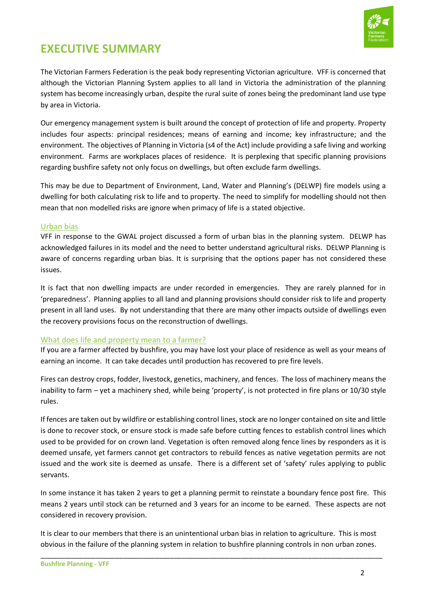

## **EXECUTIVE SUMMARY**

The Victorian Farmers Federation is the peak body representing Victorian agriculture. VFF is concerned that although the Victorian Planning System applies to all land in Victoria the administration of the planning system has become increasingly urban, despite the rural suite of zones being the predominant land use type by area in Victoria.

Our emergency management system is built around the concept of protection of life and property. Property includes four aspects: principal residences; means of earning and income; key infrastructure; and the environment. The objectives of Planning in Victoria (s4 of the Act) include providing a safe living and working environment. Farms are workplaces places of residence. It is perplexing that specific planning provisions regarding bushfire safety not only focus on dwellings, but often exclude farm dwellings.

This may be due to Department of Environment, Land, Water and Planning's (DELWP) fire models using a dwelling for both calculating risk to life and to property. The need to simplify for modelling should not then mean that non modelled risks are ignore when primacy of life is a stated objective.

#### Urban bias

VFF in response to the GWAL project discussed a form of urban bias in the planning system. DELWP has acknowledged failures in its model and the need to better understand agricultural risks. DELWP Planning is aware of concerns regarding urban bias. It is surprising that the options paper has not considered these issues.

It is fact that non dwelling impacts are under recorded in emergencies. They are rarely planned for in 'preparedness'. Planning applies to all land and planning provisions should consider risk to life and property present in all land uses. By not understanding that there are many other impacts outside of dwellings even the recovery provisions focus on the reconstruction of dwellings.

#### What does life and property mean to a farmer?

If you are a farmer affected by bushfire, you may have lost your place of residence as well as your means of earning an income. It can take decades until production has recovered to pre fire levels.

Fires can destroy crops, fodder, livestock, genetics, machinery, and fences. The loss of machinery means the inability to farm – yet a machinery shed, while being 'property', is not protected in fire plans or 10/30 style rules.

If fences are taken out by wildfire or establishing control lines, stock are no longer contained on site and little is done to recover stock, or ensure stock is made safe before cutting fences to establish control lines which used to be provided for on crown land. Vegetation is often removed along fence lines by responders as it is deemed unsafe, yet farmers cannot get contractors to rebuild fences as native vegetation permits are not issued and the work site is deemed as unsafe. There is a different set of 'safety' rules applying to public servants.

In some instance it has taken 2 years to get a planning permit to reinstate a boundary fence post fire. This means 2 years until stock can be returned and 3 years for an income to be earned. These aspects are not considered in recovery provision.

It is clear to our members that there is an unintentional urban bias in relation to agriculture. This is most obvious in the failure of the planning system in relation to bushfire planning controls in non urban zones.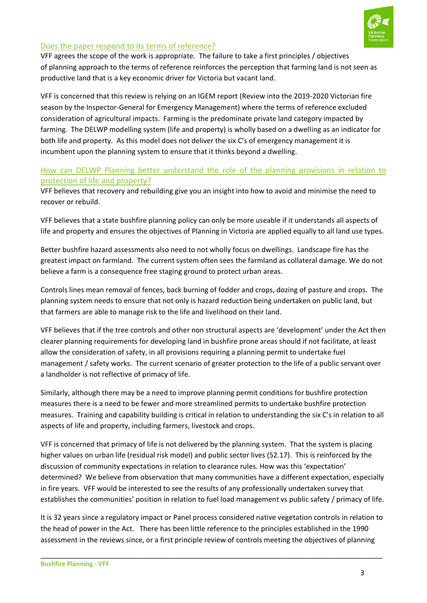

#### Does the paper respond to its terms of reference?

VFF agrees the scope of the work is appropriate. The failure to take a first principles / objectives of planning approach to the terms of reference reinforces the perception that farming land is not seen as productive land that is a key economic driver for Victoria but vacant land.

VFF is concerned that this review is relying on an IGEM report (Review into the 2019-2020 Victorian fire season by the Inspector-General for Emergency Management) where the terms of reference excluded consideration of agricultural impacts. Farming is the predominate private land category impacted by farming. The DELWP modelling system (life and property) is wholly based on a dwelling as an indicator for both life and property. As this model does not deliver the six C's of emergency management it is incumbent upon the planning system to ensure that it thinks beyond a dwelling.

#### How can DELWP Planning better understand the role of the planning provisions in relation to protection of life and property?

VFF believes that recovery and rebuilding give you an insight into how to avoid and minimise the need to recover or rebuild.

VFF believes that a state bushfire planning policy can only be more useable if it understands all aspects of life and property and ensures the objectives of Planning in Victoria are applied equally to all land use types.

Better bushfire hazard assessments also need to not wholly focus on dwellings. Landscape fire has the greatest impact on farmland. The current system often sees the farmland as collateral damage. We do not believe a farm is a consequence free staging ground to protect urban areas.

Controls lines mean removal of fences, back burning of fodder and crops, dozing of pasture and crops. The planning system needs to ensure that not only is hazard reduction being undertaken on public land, but that farmers are able to manage risk to the life and livelihood on their land.

VFF believes that if the tree controls and other non structural aspects are 'development' under the Act then clearer planning requirements for developing land in bushfire prone areas should if not facilitate, at least allow the consideration of safety, in all provisions requiring a planning permit to undertake fuel management / safety works. The current scenario of greater protection to the life of a public servant over a landholder is not reflective of primacy of life.

Similarly, although there may be a need to improve planning permit conditions for bushfire protection measures there is a need to be fewer and more streamlined permits to undertake bushfire protection measures. Training and capability building is critical in relation to understanding the six C's in relation to all aspects of life and property, including farmers, livestock and crops.

VFF is concerned that primacy of life is not delivered by the planning system. That the system is placing higher values on urban life (residual risk model) and public sector lives (52.17). This is reinforced by the discussion of community expectations in relation to clearance rules. How was this 'expectation' determined? We believe from observation that many communities have a different expectation, especially in fire years. VFF would be interested to see the results of any professionally undertaken survey that establishes the communities' position in relation to fuel load management vs public safety / primacy of life.

It is 32 years since a regulatory impact or Panel process considered native vegetation controls in relation to the head of power in the Act. There has been little reference to the principles established in the 1990 assessment in the reviews since, or a first principle review of controls meeting the objectives of planning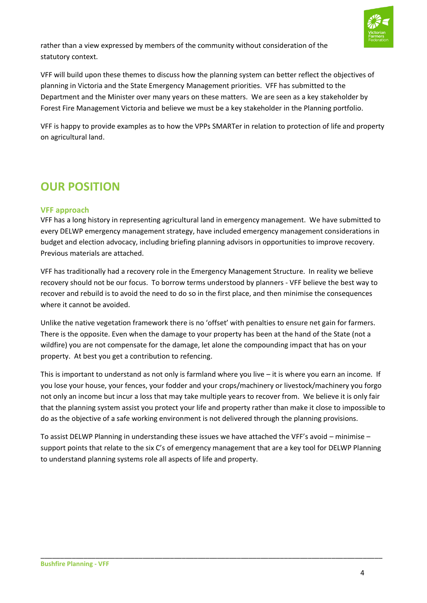

rather than a view expressed by members of the community without consideration of the statutory context.

VFF will build upon these themes to discuss how the planning system can better reflect the objectives of planning in Victoria and the State Emergency Management priorities. VFF has submitted to the Department and the Minister over many years on these matters. We are seen as a key stakeholder by Forest Fire Management Victoria and believe we must be a key stakeholder in the Planning portfolio.

VFF is happy to provide examples as to how the VPPs SMARTer in relation to protection of life and property on agricultural land.

# **OUR POSITION**

#### **VFF approach**

VFF has a long history in representing agricultural land in emergency management. We have submitted to every DELWP emergency management strategy, have included emergency management considerations in budget and election advocacy, including briefing planning advisors in opportunities to improve recovery. Previous materials are attached.

VFF has traditionally had a recovery role in the Emergency Management Structure. In reality we believe recovery should not be our focus. To borrow terms understood by planners - VFF believe the best way to recover and rebuild is to avoid the need to do so in the first place, and then minimise the consequences where it cannot be avoided.

Unlike the native vegetation framework there is no 'offset' with penalties to ensure net gain for farmers. There is the opposite. Even when the damage to your property has been at the hand of the State (not a wildfire) you are not compensate for the damage, let alone the compounding impact that has on your property. At best you get a contribution to refencing.

This is important to understand as not only is farmland where you live – it is where you earn an income. If you lose your house, your fences, your fodder and your crops/machinery or livestock/machinery you forgo not only an income but incur a loss that may take multiple years to recover from. We believe it is only fair that the planning system assist you protect your life and property rather than make it close to impossible to do as the objective of a safe working environment is not delivered through the planning provisions.

To assist DELWP Planning in understanding these issues we have attached the VFF's avoid – minimise – support points that relate to the six C's of emergency management that are a key tool for DELWP Planning to understand planning systems role all aspects of life and property.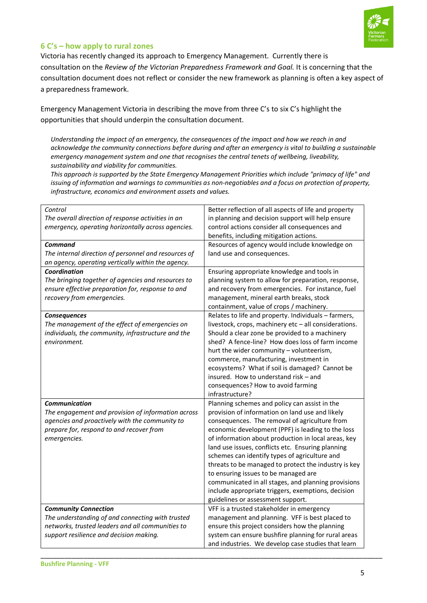

#### **6 C's – how apply to rural zones**

Victoria has recently changed its approach to Emergency Management. Currently there is consultation on the *Review of the Victorian Preparedness Framework and Goal.* It is concerning that the consultation document does not reflect or consider the new framework as planning is often a key aspect of a preparedness framework.

Emergency Management Victoria in describing the move from three C's to six C's highlight the opportunities that should underpin the consultation document.

*Understanding the impact of an emergency, the consequences of the impact and how we reach in and acknowledge the community connections before during and after an emergency is vital to building a sustainable emergency management system and one that recognises the central tenets of wellbeing, liveability, sustainability and viability for communities.*

*This approach is supported by the State Emergency Management Priorities which include "primacy of life" and issuing of information and warnings to communities as non-negotiables and a focus on protection of property, infrastructure, economics and environment assets and values.*

| Control                                              | Better reflection of all aspects of life and property |
|------------------------------------------------------|-------------------------------------------------------|
| The overall direction of response activities in an   | in planning and decision support will help ensure     |
| emergency, operating horizontally across agencies.   | control actions consider all consequences and         |
|                                                      | benefits, including mitigation actions.               |
| <b>Command</b>                                       | Resources of agency would include knowledge on        |
| The internal direction of personnel and resources of | land use and consequences.                            |
| an agency, operating vertically within the agency.   |                                                       |
| Coordination                                         | Ensuring appropriate knowledge and tools in           |
| The bringing together of agencies and resources to   | planning system to allow for preparation, response,   |
| ensure effective preparation for, response to and    | and recovery from emergencies. For instance, fuel     |
| recovery from emergencies.                           | management, mineral earth breaks, stock               |
|                                                      |                                                       |
|                                                      | containment, value of crops / machinery.              |
| <b>Consequences</b>                                  | Relates to life and property. Individuals - farmers,  |
| The management of the effect of emergencies on       | livestock, crops, machinery etc - all considerations. |
| individuals, the community, infrastructure and the   | Should a clear zone be provided to a machinery        |
| environment.                                         | shed? A fence-line? How does loss of farm income      |
|                                                      | hurt the wider community - volunteerism,              |
|                                                      | commerce, manufacturing, investment in                |
|                                                      | ecosystems? What if soil is damaged? Cannot be        |
|                                                      | insured. How to understand risk - and                 |
|                                                      | consequences? How to avoid farming                    |
|                                                      | infrastructure?                                       |
| <b>Communication</b>                                 | Planning schemes and policy can assist in the         |
| The engagement and provision of information across   | provision of information on land use and likely       |
| agencies and proactively with the community to       | consequences. The removal of agriculture from         |
| prepare for, respond to and recover from             | economic development (PPF) is leading to the loss     |
| emergencies.                                         | of information about production in local areas, key   |
|                                                      | land use issues, conflicts etc. Ensuring planning     |
|                                                      | schemes can identify types of agriculture and         |
|                                                      | threats to be managed to protect the industry is key  |
|                                                      | to ensuring issues to be managed are                  |
|                                                      | communicated in all stages, and planning provisions   |
|                                                      | include appropriate triggers, exemptions, decision    |
|                                                      | guidelines or assessment support.                     |
| <b>Community Connection</b>                          | VFF is a trusted stakeholder in emergency             |
| The understanding of and connecting with trusted     | management and planning. VFF is best placed to        |
| networks, trusted leaders and all communities to     | ensure this project considers how the planning        |
| support resilience and decision making.              | system can ensure bushfire planning for rural areas   |
|                                                      | and industries. We develop case studies that learn    |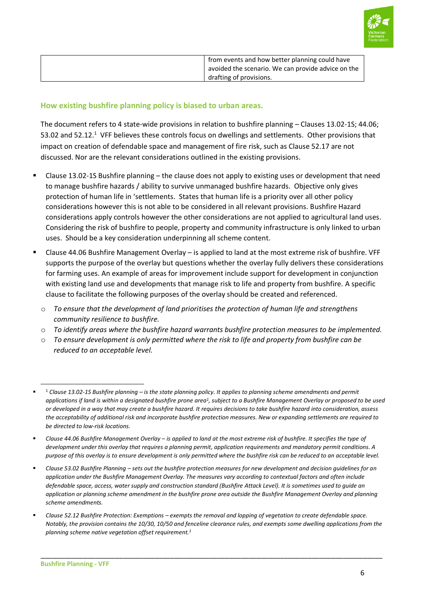

| from events and how better planning could have     |
|----------------------------------------------------|
| avoided the scenario. We can provide advice on the |
| drafting of provisions.                            |

#### **How existing bushfire planning policy is biased to urban areas.**

The document refers to 4 state-wide provisions in relation to bushfire planning – Clauses 13.02-1S; 44.06; 53.02 and 52.12.<sup>1</sup> VFF believes these controls focus on dwellings and settlements. Other provisions that impact on creation of defendable space and management of fire risk, such as Clause 52.17 are not discussed. Nor are the relevant considerations outlined in the existing provisions.

- Clause 13.02-1S Bushfire planning the clause does not apply to existing uses or development that need to manage bushfire hazards / ability to survive unmanaged bushfire hazards. Objective only gives protection of human life in 'settlements. States that human life is a priority over all other policy considerations however this is not able to be considered in all relevant provisions. Bushfire Hazard considerations apply controls however the other considerations are not applied to agricultural land uses. Considering the risk of bushfire to people, property and community infrastructure is only linked to urban uses. Should be a key consideration underpinning all scheme content.
- Clause 44.06 Bushfire Management Overlay is applied to land at the most extreme risk of bushfire. VFF supports the purpose of the overlay but questions whether the overlay fully delivers these considerations for farming uses. An example of areas for improvement include support for development in conjunction with existing land use and developments that manage risk to life and property from bushfire. A specific clause to facilitate the following purposes of the overlay should be created and referenced.
	- o *To ensure that the development of land prioritises the protection of human life and strengthens community resilience to bushfire.*
	- o *To identify areas where the bushfire hazard warrants bushfire protection measures to be implemented.*
	- o *To ensure development is only permitted where the risk to life and property from bushfire can be reduced to an acceptable level.*

<sup>▪</sup> <sup>1</sup> *Clause 13.02-1S Bushfire planning – is the state planning policy. It applies to planning scheme amendments and permit applications if land is within a designated bushfire prone area<sup>1</sup> , subject to a Bushfire Management Overlay or proposed to be used or developed in a way that may create a bushfire hazard. It requires decisions to take bushfire hazard into consideration, assess the acceptability of additional risk and incorporate bushfire protection measures. New or expanding settlements are required to be directed to low-risk locations.*

<sup>▪</sup> *Clause 44.06 Bushfire Management Overlay – is applied to land at the most extreme risk of bushfire. It specifies the type of development under this overlay that requires a planning permit, application requirements and mandatory permit conditions. A purpose of this overlay is to ensure development is only permitted where the bushfire risk can be reduced to an acceptable level.*

<sup>▪</sup> *Clause 53.02 Bushfire Planning – sets out the bushfire protection measures for new development and decision guidelines for an application under the Bushfire Management Overlay. The measures vary according to contextual factors and often include defendable space, access, water supply and construction standard (Bushfire Attack Level). It is sometimes used to guide an application or planning scheme amendment in the bushfire prone area outside the Bushfire Management Overlay and planning scheme amendments.*

<sup>▪</sup> *Clause 52.12 Bushfire Protection: Exemptions – exempts the removal and lopping of vegetation to create defendable space. Notably, the provision contains the 10/30, 10/50 and fenceline clearance rules, and exempts some dwelling applications from the planning scheme native vegetation offset requirement.1*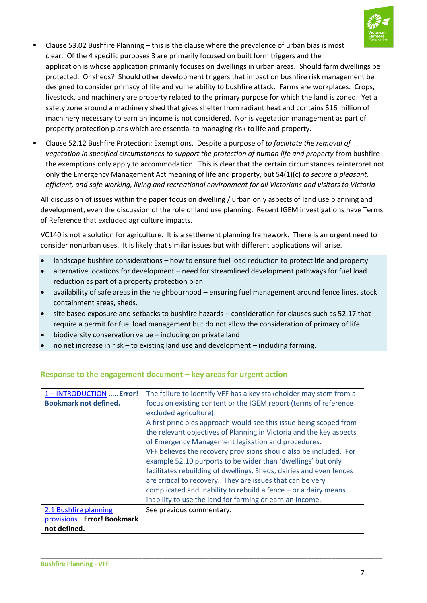

- Clause 53.02 Bushfire Planning this is the clause where the prevalence of urban bias is most clear. Of the 4 specific purposes 3 are primarily focused on built form triggers and the application is whose application primarily focuses on dwellings in urban areas. Should farm dwellings be protected. Or sheds? Should other development triggers that impact on bushfire risk management be designed to consider primacy of life and vulnerability to bushfire attack. Farms are workplaces. Crops, livestock, and machinery are property related to the primary purpose for which the land is zoned. Yet a safety zone around a machinery shed that gives shelter from radiant heat and contains \$16 million of machinery necessary to earn an income is not considered. Nor is vegetation management as part of property protection plans which are essential to managing risk to life and property.
- Clause 52.12 Bushfire Protection: Exemptions. Despite a purpose of *to facilitate the removal of vegetation in specified circumstances to support the protection of human life and property* from bushfire the exemptions only apply to accommodation. This is clear that the certain circumstances reinterpret not only the Emergency Management Act meaning of life and property, but S4(1)(c) *to secure a pleasant, efficient, and safe working, living and recreational environment for all Victorians and visitors to Victoria*

All discussion of issues within the paper focus on dwelling / urban only aspects of land use planning and development, even the discussion of the role of land use planning. Recent IGEM investigations have Terms of Reference that excluded agriculture impacts.

VC140 is not a solution for agriculture. It is a settlement planning framework. There is an urgent need to consider nonurban uses. It is likely that similar issues but with different applications will arise.

- landscape bushfire considerations how to ensure fuel load reduction to protect life and property
- alternative locations for development need for streamlined development pathways for fuel load reduction as part of a property protection plan
- availability of safe areas in the neighbourhood ensuring fuel management around fence lines, stock containment areas, sheds.
- site based exposure and setbacks to bushfire hazards consideration for clauses such as 52.17 that require a permit for fuel load management but do not allow the consideration of primacy of life.
- biodiversity conservation value including on private land
- no net increase in risk to existing land use and development including farming.

| 1-INTRODUCTION  Error!       | The failure to identify VFF has a key stakeholder may stem from a   |
|------------------------------|---------------------------------------------------------------------|
| <b>Bookmark not defined.</b> | focus on existing content or the IGEM report (terms of reference    |
|                              | excluded agriculture).                                              |
|                              | A first principles approach would see this issue being scoped from  |
|                              | the relevant objectives of Planning in Victoria and the key aspects |
|                              | of Emergency Management legisation and procedures.                  |
|                              | VFF believes the recovery provisions should also be included. For   |
|                              | example 52.10 purports to be wider than 'dwellings' but only        |
|                              | facilitates rebuilding of dwellings. Sheds, dairies and even fences |
|                              | are critical to recovery. They are issues that can be very          |
|                              | complicated and inability to rebuild a fence $-$ or a dairy means   |
|                              | inability to use the land for farming or earn an income.            |
| 2.1 Bushfire planning        | See previous commentary.                                            |
| provisions Error! Bookmark   |                                                                     |
| not defined.                 |                                                                     |

\_\_\_\_\_\_\_\_\_\_\_\_\_\_\_\_\_\_\_\_\_\_\_\_\_\_\_\_\_\_\_\_\_\_\_\_\_\_\_\_\_\_\_\_\_\_\_\_\_\_\_\_\_\_\_\_\_\_\_\_\_\_\_\_\_\_\_\_\_\_\_\_\_\_\_\_\_\_\_\_\_\_\_\_\_\_\_

#### **Response to the engagement document – key areas for urgent action**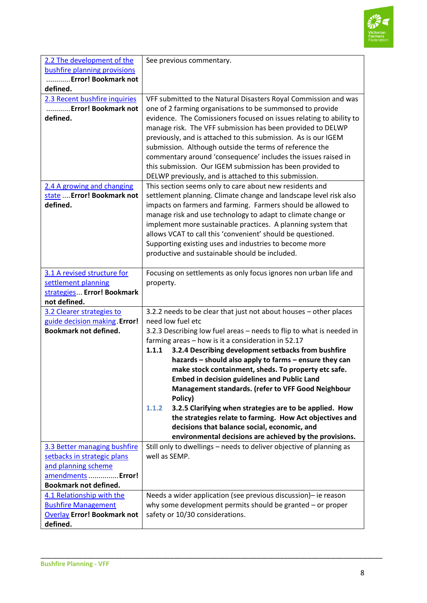

| 2.2 The development of the<br>bushfire planning provisions<br>Error! Bookmark not<br>defined.                                                                                                                                          | See previous commentary.                                                                                                                                                                                                                                                                                                                                                                                                                                                                                                                                                                                                                                                                                                                                                                                                                                          |
|----------------------------------------------------------------------------------------------------------------------------------------------------------------------------------------------------------------------------------------|-------------------------------------------------------------------------------------------------------------------------------------------------------------------------------------------------------------------------------------------------------------------------------------------------------------------------------------------------------------------------------------------------------------------------------------------------------------------------------------------------------------------------------------------------------------------------------------------------------------------------------------------------------------------------------------------------------------------------------------------------------------------------------------------------------------------------------------------------------------------|
| 2.3 Recent bushfire inquiries<br>Error! Bookmark not<br>defined.                                                                                                                                                                       | VFF submitted to the Natural Disasters Royal Commission and was<br>one of 2 farming organisations to be summonsed to provide<br>evidence. The Comissioners focused on issues relating to ability to<br>manage risk. The VFF submission has been provided to DELWP<br>previously, and is attached to this submission. As is our IGEM<br>submission. Although outside the terms of reference the<br>commentary around 'consequence' includes the issues raised in<br>this submission. Our IGEM submission has been provided to<br>DELWP previously, and is attached to this submission.                                                                                                                                                                                                                                                                             |
| 2.4 A growing and changing<br>state  Error! Bookmark not<br>defined.                                                                                                                                                                   | This section seems only to care about new residents and<br>settlement planning. Climate change and landscape level risk also<br>impacts on farmers and farming. Farmers should be allowed to<br>manage risk and use technology to adapt to climate change or<br>implement more sustainable practices. A planning system that<br>allows VCAT to call this 'convenient' should be questioned.<br>Supporting existing uses and industries to become more<br>productive and sustainable should be included.                                                                                                                                                                                                                                                                                                                                                           |
| 3.1 A revised structure for<br>settlement planning<br>strategies  Error! Bookmark<br>not defined.                                                                                                                                      | Focusing on settlements as only focus ignores non urban life and<br>property.                                                                                                                                                                                                                                                                                                                                                                                                                                                                                                                                                                                                                                                                                                                                                                                     |
| 3.2 Clearer strategies to<br>guide decision making. Error!<br><b>Bookmark not defined.</b><br>3.3 Better managing bushfire<br>setbacks in strategic plans<br>and planning scheme<br>amendments  Error!<br><b>Bookmark not defined.</b> | 3.2.2 needs to be clear that just not about houses - other places<br>need low fuel etc<br>3.2.3 Describing low fuel areas - needs to flip to what is needed in<br>farming areas - how is it a consideration in 52.17<br>3.2.4 Describing development setbacks from bushfire<br>1.1.1<br>hazards - should also apply to farms - ensure they can<br>make stock containment, sheds. To property etc safe.<br><b>Embed in decision guidelines and Public Land</b><br>Management standards. (refer to VFF Good Neighbour<br>Policy)<br>3.2.5 Clarifying when strategies are to be applied. How<br>1.1.2<br>the strategies relate to farming. How Act objectives and<br>decisions that balance social, economic, and<br>environmental decisions are achieved by the provisions.<br>Still only to dwellings - needs to deliver objective of planning as<br>well as SEMP. |
| 4.1 Relationship with the<br><b>Bushfire Management</b><br><b>Overlay Error! Bookmark not</b><br>defined.                                                                                                                              | Needs a wider application (see previous discussion)- ie reason<br>why some development permits should be granted $-$ or proper<br>safety or 10/30 considerations.                                                                                                                                                                                                                                                                                                                                                                                                                                                                                                                                                                                                                                                                                                 |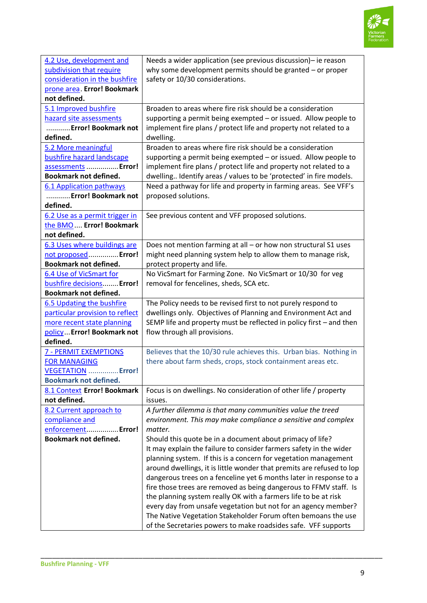

| 4.2 Use, development and<br>subdivision that require<br>consideration in the bushfire<br>prone area. Error! Bookmark<br>not defined. | Needs a wider application (see previous discussion)- ie reason<br>why some development permits should be granted $-$ or proper<br>safety or 10/30 considerations.                                                                                                                                                                                                                                                                                                                                                                                                                                                                 |
|--------------------------------------------------------------------------------------------------------------------------------------|-----------------------------------------------------------------------------------------------------------------------------------------------------------------------------------------------------------------------------------------------------------------------------------------------------------------------------------------------------------------------------------------------------------------------------------------------------------------------------------------------------------------------------------------------------------------------------------------------------------------------------------|
| 5.1 Improved bushfire<br>hazard site assessments<br>Error! Bookmark not<br>defined.                                                  | Broaden to areas where fire risk should be a consideration<br>supporting a permit being exempted - or issued. Allow people to<br>implement fire plans / protect life and property not related to a<br>dwelling.                                                                                                                                                                                                                                                                                                                                                                                                                   |
| 5.2 More meaningful<br>bushfire hazard landscape<br>assessments  Error!<br>Bookmark not defined.                                     | Broaden to areas where fire risk should be a consideration<br>supporting a permit being exempted - or issued. Allow people to<br>implement fire plans / protect life and property not related to a<br>dwelling Identify areas / values to be 'protected' in fire models.                                                                                                                                                                                                                                                                                                                                                          |
| 6.1 Application pathways<br>Error! Bookmark not<br>defined.                                                                          | Need a pathway for life and property in farming areas. See VFF's<br>proposed solutions.                                                                                                                                                                                                                                                                                                                                                                                                                                                                                                                                           |
| 6.2 Use as a permit trigger in<br>the BMO  Error! Bookmark<br>not defined.                                                           | See previous content and VFF proposed solutions.                                                                                                                                                                                                                                                                                                                                                                                                                                                                                                                                                                                  |
| 6.3 Uses where buildings are<br>not proposed Error!<br><b>Bookmark not defined.</b>                                                  | Does not mention farming at all - or how non structural S1 uses<br>might need planning system help to allow them to manage risk,<br>protect property and life.                                                                                                                                                                                                                                                                                                                                                                                                                                                                    |
| 6.4 Use of VicSmart for<br>bushfire decisions Error!<br><b>Bookmark not defined.</b>                                                 | No VicSmart for Farming Zone. No VicSmart or 10/30 for veg<br>removal for fencelines, sheds, SCA etc.                                                                                                                                                                                                                                                                                                                                                                                                                                                                                                                             |
| 6.5 Updating the bushfire<br>particular provision to reflect<br>more recent state planning<br>policy Error! Bookmark not<br>defined. | The Policy needs to be revised first to not purely respond to<br>dwellings only. Objectives of Planning and Environment Act and<br>SEMP life and property must be reflected in policy first - and then<br>flow through all provisions.                                                                                                                                                                                                                                                                                                                                                                                            |
| <b>7 - PERMIT EXEMPTIONS</b><br><b>FOR MANAGING</b><br>VEGETATION  Error!<br><b>Bookmark not defined.</b>                            | Believes that the 10/30 rule achieves this. Urban bias. Nothing in<br>there about farm sheds, crops, stock containment areas etc.                                                                                                                                                                                                                                                                                                                                                                                                                                                                                                 |
| 8.1 Context Error! Bookmark<br>not defined.                                                                                          | Focus is on dwellings. No consideration of other life / property<br>issues.                                                                                                                                                                                                                                                                                                                                                                                                                                                                                                                                                       |
| 8.2 Current approach to<br>compliance and<br>enforcement Error!<br><b>Bookmark not defined.</b>                                      | A further dilemma is that many communities value the treed<br>environment. This may make compliance a sensitive and complex<br>matter.<br>Should this quote be in a document about primacy of life?                                                                                                                                                                                                                                                                                                                                                                                                                               |
|                                                                                                                                      | It may explain the failure to consider farmers safety in the wider<br>planning system. If this is a concern for vegetation management<br>around dwellings, it is little wonder that premits are refused to lop<br>dangerous trees on a fenceline yet 6 months later in response to a<br>fire those trees are removed as being dangerous to FFMV staff. Is<br>the planning system really OK with a farmers life to be at risk<br>every day from unsafe vegetation but not for an agency member?<br>The Native Vegetation Stakeholder Forum often bemoans the use<br>of the Secretaries powers to make roadsides safe. VFF supports |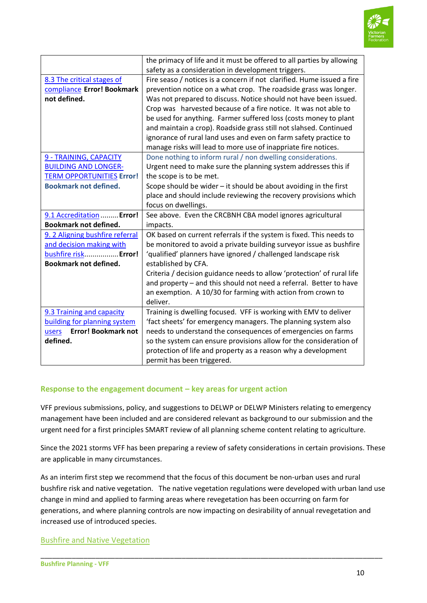

|                                     | the primacy of life and it must be offered to all parties by allowing                       |
|-------------------------------------|---------------------------------------------------------------------------------------------|
|                                     | safety as a consideration in development triggers.                                          |
| 8.3 The critical stages of          | Fire seaso / notices is a concern if not clarified. Hume issued a fire                      |
| compliance Error! Bookmark          | prevention notice on a what crop. The roadside grass was longer.                            |
| not defined.                        | Was not prepared to discuss. Notice should not have been issued.                            |
|                                     | Crop was harvested because of a fire notice. It was not able to                             |
|                                     | be used for anything. Farmer suffered loss (costs money to plant                            |
|                                     | and maintain a crop). Roadside grass still not slahsed. Continued                           |
|                                     | ignorance of rural land uses and even on farm safety practice to                            |
|                                     | manage risks will lead to more use of inappriate fire notices.                              |
| 9 - TRAINING, CAPACITY              | Done nothing to inform rural / non dwelling considerations.                                 |
| <b>BUILDING AND LONGER-</b>         | Urgent need to make sure the planning system addresses this if                              |
| <b>TERM OPPORTUNITIES Error!</b>    | the scope is to be met.                                                                     |
| <b>Bookmark not defined.</b>        | Scope should be wider - it should be about avoiding in the first                            |
|                                     | place and should include reviewing the recovery provisions which                            |
|                                     | focus on dwellings.                                                                         |
|                                     |                                                                                             |
| 9.1 Accreditation  Error!           | See above. Even the CRCBNH CBA model ignores agricultural                                   |
| <b>Bookmark not defined.</b>        | impacts.                                                                                    |
| 9. 2 Aligning bushfire referral     | OK based on current referrals if the system is fixed. This needs to                         |
| and decision making with            | be monitored to avoid a private building surveyor issue as bushfire                         |
| bushfire risk Error!                | 'qualified' planners have ignored / challenged landscape risk                               |
| <b>Bookmark not defined.</b>        | established by CFA.                                                                         |
|                                     | Criteria / decision guidance needs to allow 'protection' of rural life                      |
|                                     | and property - and this should not need a referral. Better to have                          |
|                                     | an exemption. A 10/30 for farming with action from crown to                                 |
|                                     | deliver.                                                                                    |
| 9.3 Training and capacity           | Training is dwelling focused. VFF is working with EMV to deliver                            |
| building for planning system        | 'fact sheets' for emergency managers. The planning system also                              |
| <b>Error! Bookmark not</b><br>users | needs to understand the consequences of emergencies on farms                                |
| defined.                            | so the system can ensure provisions allow for the consideration of                          |
|                                     | protection of life and property as a reason why a development<br>permit has been triggered. |

#### **Response to the engagement document – key areas for urgent action**

VFF previous submissions, policy, and suggestions to DELWP or DELWP Ministers relating to emergency management have been included and are considered relevant as background to our submission and the urgent need for a first principles SMART review of all planning scheme content relating to agriculture.

Since the 2021 storms VFF has been preparing a review of safety considerations in certain provisions. These are applicable in many circumstances.

As an interim first step we recommend that the focus of this document be non-urban uses and rural bushfire risk and native vegetation. The native vegetation regulations were developed with urban land use change in mind and applied to farming areas where revegetation has been occurring on farm for generations, and where planning controls are now impacting on desirability of annual revegetation and increased use of introduced species.

\_\_\_\_\_\_\_\_\_\_\_\_\_\_\_\_\_\_\_\_\_\_\_\_\_\_\_\_\_\_\_\_\_\_\_\_\_\_\_\_\_\_\_\_\_\_\_\_\_\_\_\_\_\_\_\_\_\_\_\_\_\_\_\_\_\_\_\_\_\_\_\_\_\_\_\_\_\_\_\_\_\_\_\_\_\_\_

#### Bushfire and Native Vegetation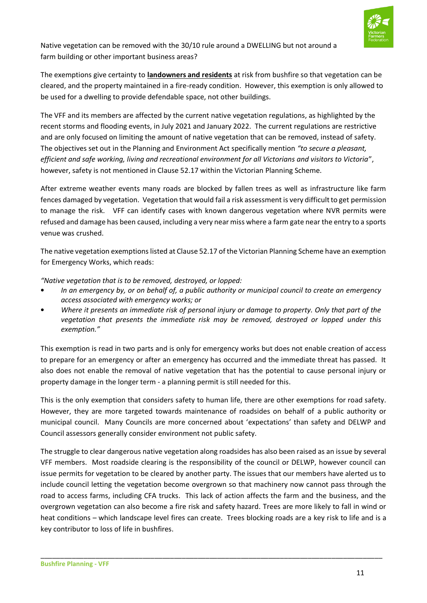

Native vegetation can be removed with the 30/10 rule around a DWELLING but not around a farm building or other important business areas?

The exemptions give certainty to **landowners and residents** at risk from bushfire so that vegetation can be cleared, and the property maintained in a fire-ready condition. However, this exemption is only allowed to be used for a dwelling to provide defendable space, not other buildings.

The VFF and its members are affected by the current native vegetation regulations, as highlighted by the recent storms and flooding events, in July 2021 and January 2022. The current regulations are restrictive and are only focused on limiting the amount of native vegetation that can be removed, instead of safety. The objectives set out in the Planning and Environment Act specifically mention *"to secure a pleasant, efficient and safe working, living and recreational environment for all Victorians and visitors to Victoria*", however, safety is not mentioned in Clause 52.17 within the Victorian Planning Scheme.

After extreme weather events many roads are blocked by fallen trees as well as infrastructure like farm fences damaged by vegetation. Vegetation that would fail a risk assessment is very difficult to get permission to manage the risk. VFF can identify cases with known dangerous vegetation where NVR permits were refused and damage has been caused, including a very near miss where a farm gate near the entry to a sports venue was crushed.

The native vegetation exemptions listed at Clause 52.17 of the Victorian Planning Scheme have an exemption for Emergency Works, which reads:

*"Native vegetation that is to be removed, destroyed, or lopped:*

- *In an emergency by, or on behalf of, a public authority or municipal council to create an emergency access associated with emergency works; or*
- *Where it presents an immediate risk of personal injury or damage to property. Only that part of the vegetation that presents the immediate risk may be removed, destroyed or lopped under this exemption."*

This exemption is read in two parts and is only for emergency works but does not enable creation of access to prepare for an emergency or after an emergency has occurred and the immediate threat has passed. It also does not enable the removal of native vegetation that has the potential to cause personal injury or property damage in the longer term - a planning permit is still needed for this.

This is the only exemption that considers safety to human life, there are other exemptions for road safety. However, they are more targeted towards maintenance of roadsides on behalf of a public authority or municipal council. Many Councils are more concerned about 'expectations' than safety and DELWP and Council assessors generally consider environment not public safety.

The struggle to clear dangerous native vegetation along roadsides has also been raised as an issue by several VFF members. Most roadside clearing is the responsibility of the council or DELWP, however council can issue permits for vegetation to be cleared by another party. The issues that our members have alerted us to include council letting the vegetation become overgrown so that machinery now cannot pass through the road to access farms, including CFA trucks. This lack of action affects the farm and the business, and the overgrown vegetation can also become a fire risk and safety hazard. Trees are more likely to fall in wind or heat conditions – which landscape level fires can create. Trees blocking roads are a key risk to life and is a key contributor to loss of life in bushfires.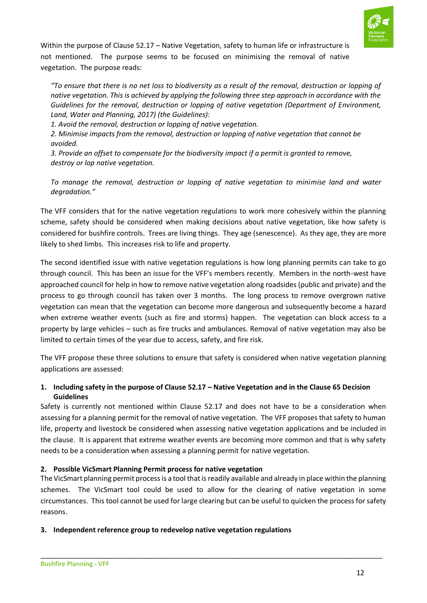

Within the purpose of Clause 52.17 – Native Vegetation, safety to human life or infrastructure is not mentioned. The purpose seems to be focused on minimising the removal of native vegetation. The purpose reads:

*"To ensure that there is no net loss to biodiversity as a result of the removal, destruction or lopping of native vegetation. This is achieved by applying the following three step approach in accordance with the Guidelines for the removal, destruction or lopping of native vegetation (Department of Environment, Land, Water and Planning, 2017) (the Guidelines):*

*1. Avoid the removal, destruction or lopping of native vegetation.*

*2. Minimise impacts from the removal, destruction or lopping of native vegetation that cannot be avoided.*

*3. Provide an offset to compensate for the biodiversity impact if a permit is granted to remove, destroy or lop native vegetation.*

*To manage the removal, destruction or lopping of native vegetation to minimise land and water degradation."*

The VFF considers that for the native vegetation regulations to work more cohesively within the planning scheme, safety should be considered when making decisions about native vegetation, like how safety is considered for bushfire controls. Trees are living things. They age (senescence). As they age, they are more likely to shed limbs. This increases risk to life and property.

The second identified issue with native vegetation regulations is how long planning permits can take to go through council. This has been an issue for the VFF's members recently. Members in the north-west have approached council for help in how to remove native vegetation along roadsides (public and private) and the process to go through council has taken over 3 months. The long process to remove overgrown native vegetation can mean that the vegetation can become more dangerous and subsequently become a hazard when extreme weather events (such as fire and storms) happen. The vegetation can block access to a property by large vehicles – such as fire trucks and ambulances. Removal of native vegetation may also be limited to certain times of the year due to access, safety, and fire risk.

The VFF propose these three solutions to ensure that safety is considered when native vegetation planning applications are assessed:

#### **1. Including safety in the purpose of Clause 52.17 – Native Vegetation and in the Clause 65 Decision Guidelines**

Safety is currently not mentioned within Clause 52.17 and does not have to be a consideration when assessing for a planning permit for the removal of native vegetation. The VFF proposes that safety to human life, property and livestock be considered when assessing native vegetation applications and be included in the clause. It is apparent that extreme weather events are becoming more common and that is why safety needs to be a consideration when assessing a planning permit for native vegetation.

#### **2. Possible VicSmart Planning Permit process for native vegetation**

The VicSmart planning permit process is a tool that is readily available and already in place within the planning schemes. The VicSmart tool could be used to allow for the clearing of native vegetation in some circumstances. This tool cannot be used for large clearing but can be useful to quicken the process for safety reasons.

\_\_\_\_\_\_\_\_\_\_\_\_\_\_\_\_\_\_\_\_\_\_\_\_\_\_\_\_\_\_\_\_\_\_\_\_\_\_\_\_\_\_\_\_\_\_\_\_\_\_\_\_\_\_\_\_\_\_\_\_\_\_\_\_\_\_\_\_\_\_\_\_\_\_\_\_\_\_\_\_\_\_\_\_\_\_\_

#### **3. Independent reference group to redevelop native vegetation regulations**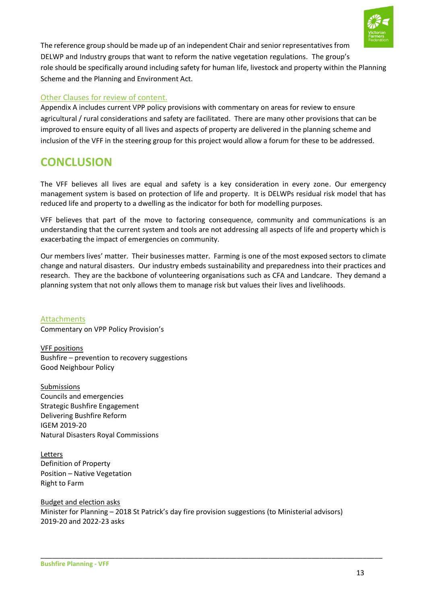

The reference group should be made up of an independent Chair and senior representatives from DELWP and Industry groups that want to reform the native vegetation regulations. The group's role should be specifically around including safety for human life, livestock and property within the Planning Scheme and the Planning and Environment Act.

#### Other Clauses for review of content.

Appendix A includes current VPP policy provisions with commentary on areas for review to ensure agricultural / rural considerations and safety are facilitated. There are many other provisions that can be improved to ensure equity of all lives and aspects of property are delivered in the planning scheme and inclusion of the VFF in the steering group for this project would allow a forum for these to be addressed.

### **CONCLUSION**

The VFF believes all lives are equal and safety is a key consideration in every zone. Our emergency management system is based on protection of life and property. It is DELWPs residual risk model that has reduced life and property to a dwelling as the indicator for both for modelling purposes.

VFF believes that part of the move to factoring consequence, community and communications is an understanding that the current system and tools are not addressing all aspects of life and property which is exacerbating the impact of emergencies on community.

Our members lives' matter. Their businesses matter. Farming is one of the most exposed sectors to climate change and natural disasters. Our industry embeds sustainability and preparedness into their practices and research. They are the backbone of volunteering organisations such as CFA and Landcare. They demand a planning system that not only allows them to manage risk but values their lives and livelihoods.

Attachments Commentary on VPP Policy Provision's

VFF positions Bushfire – prevention to recovery suggestions Good Neighbour Policy

**Submissions** Councils and emergencies Strategic Bushfire Engagement Delivering Bushfire Reform IGEM 2019-20 Natural Disasters Royal Commissions

**Letters** Definition of Property Position – Native Vegetation Right to Farm

#### Budget and election asks Minister for Planning – 2018 St Patrick's day fire provision suggestions (to Ministerial advisors) 2019-20 and 2022-23 asks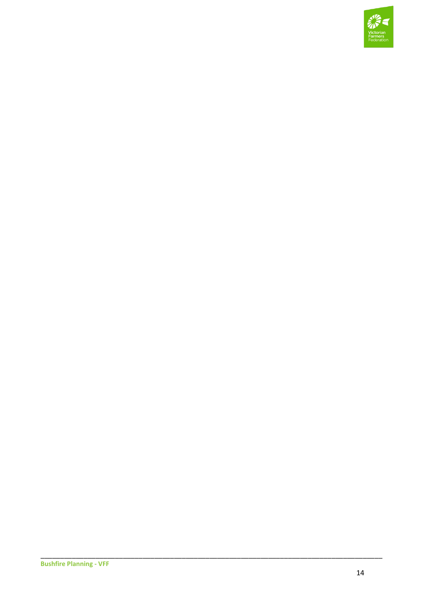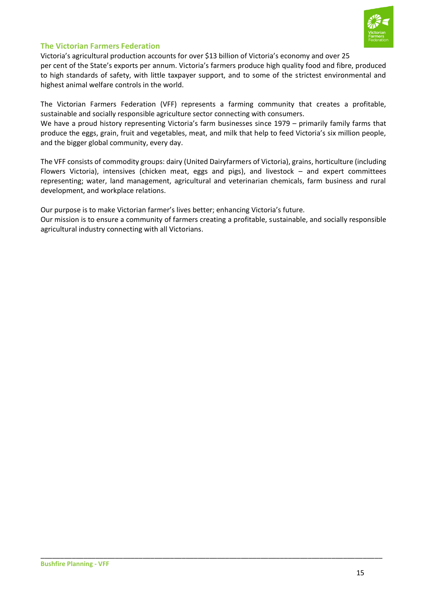

#### **The Victorian Farmers Federation**

Victoria's agricultural production accounts for over \$13 billion of Victoria's economy and over 25 per cent of the State's exports per annum. Victoria's farmers produce high quality food and fibre, produced to high standards of safety, with little taxpayer support, and to some of the strictest environmental and highest animal welfare controls in the world.

The Victorian Farmers Federation (VFF) represents a farming community that creates a profitable, sustainable and socially responsible agriculture sector connecting with consumers.

We have a proud history representing Victoria's farm businesses since 1979 – primarily family farms that produce the eggs, grain, fruit and vegetables, meat, and milk that help to feed Victoria's six million people, and the bigger global community, every day.

The VFF consists of commodity groups: dairy (United Dairyfarmers of Victoria), grains, horticulture (including Flowers Victoria), intensives (chicken meat, eggs and pigs), and livestock  $-$  and expert committees representing; water, land management, agricultural and veterinarian chemicals, farm business and rural development, and workplace relations.

Our purpose is to make Victorian farmer's lives better; enhancing Victoria's future.

Our mission is to ensure a community of farmers creating a profitable, sustainable, and socially responsible agricultural industry connecting with all Victorians.